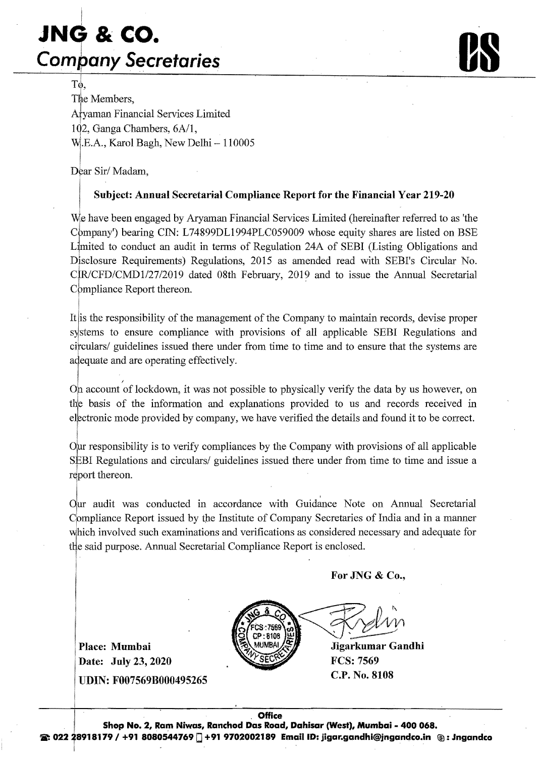## I **JNG & co.**  I **Company Secretaries** *ose Company Secretaries*



TG, The Members, Afyaman Financial Services Limited 102, Ganga Chambers,  $6A/1$ ,  $W<sub>i</sub>$ .E.A., Karol Bagh, New Delhi  $-110005$ 

Dear Sir/Madam,

I

## Subject: Annual Secretarial Compliance Report for the Financial Year 219-20

We have been engaged by Aryaman Financial Services Limited (hereinafter referred to as 'the Cbmpany') bearing CIN: L74899DL1994PLC059009 whose equity shares are listed on BSE Limited to conduct an audit in terms of Regulation 24A of SEBI (Listing Obligations and Disclosure Requirements) Regulations, 2015 as amended read with SEBl's Circular No. CIR/CFD/CMD1/27/2019 dated 08th February, 2019 and to issue the Annual Secretarial Compliance Report thereon.

It lis the responsibility of the management of the Company to maintain records, devise proper systems to ensure compliance with provisions of all applicable SEBI Regulations and circulars/ guidelines issued there under from time to time and to ensure that the systems are adequate and are operating effectively.

 $\begin{bmatrix} 1 & 1 \\ 1 & 1 \end{bmatrix}$ Or account of lockdown, it was not possible to physically verify the data by us however, on the basis of the information and explanations provided to us and records received in electronic mode provided by company, we have verified the details and found it to be correct.

0Fr responsibility is to verify compliances by the Company with provisions of all applicable SEBI Regulations and circulars/ guidelines issued there under from time to time and issue a report thereon.

Our audit was conducted in accordance with Guidance Note on Annual Secretarial Compliance Report issued by the Institute of Company Secretaries of India and in a manner which involved such examinations and verifications as considered necessary and adequate for tHe said purpose. Annual Secretarial Compliance Report is enclosed. I .

For JNG & Co.,

Place: Mumbai Date: July 23,2020 UDIN: F007569B000495265



C.P. No. 8108 Jigarkumar Gandhi FCS: 7569

Office<br>I Shop No. 2, Ram Niwas, Ranchod Das Road, Dahisar (West), Mumbai - 400 068.<br>2: 022 28918179 / +91 8080544769 ... +91 9702002189 Email ID: jigar.gandhi@jngandco.in @: Jngandco. Office Shop No.2, Ram Niwas, RanchodDas Road, Dahisar (West), Mumbai- 400 068.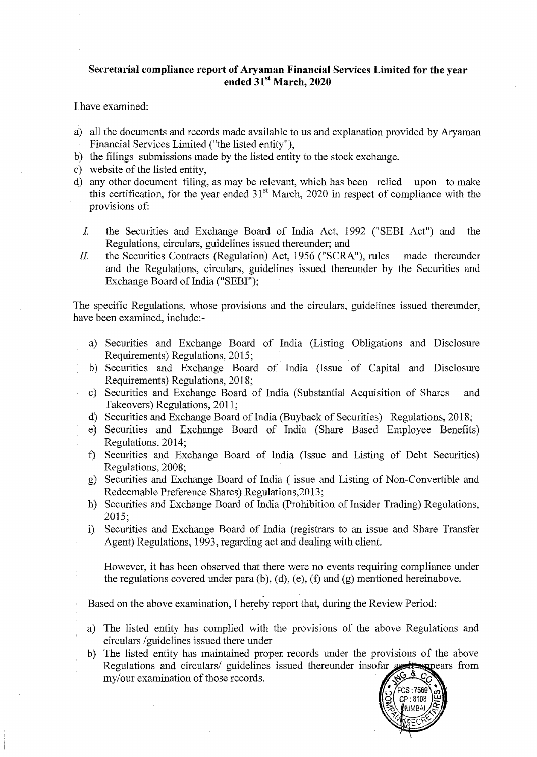## **Secretarial compliance report of Aryaman Financial Services Limited for the year ended 31st March, 2020**

Ihave examined:

- a) all the documents and records made available to us and explanation provided by Aryaman Financial Services Limited ("the listed entity"),
- b) the filings submissions made by the listed entity to the stock exchange,
- c) website of the listed entity,
- d) any other document filing, as may be relevant, which has been relied upon to make this certification, for the year ended  $31<sup>st</sup>$  March, 2020 in respect of compliance with the provisions of:
	- *1* the Securities and Exchange Board of India Act, 1992 ("SEBI Act") and the Regulations, circulars, guidelines issued thereunder; and
	- II. the Securities Contracts (Regulation) Act, 1956 ("SCRA"), rules made thereunder and the Regulations, circulars, guidelines issued thereunder by the Securities and Exchange Board of India ("SEBI");

The specific Regulations, whose provisions and the circulars, guidelines issued thereunder, have been examined, include:

- a) Securities and Exchange Board of India (Listing Obligations and Disclosure Requirements) Regulations, 2015;
- b) Securities and Exchange Board of India (Issue of Capital and Disclosure Requirements) Regulations, 2018;
- c) Securities and Exchange Board of India (Substantial Acquisition of Shares and Takeovers) Regulations, 2011;
- d) Securities and Exchange Board of India (Buyback of Securities) Regulations, 2018;
- e) Securities and Exchange Board of India (Share Based Employee Benefits) Regulations, 2014;
- 1) Securities and Exchange Board of India (Issue and Listing of Debt Securities) Regulations, 2008;
- g) Securities and Exchange Board of India ( issue and Listing of Non-Convertible and Redeemable Preference Shares) Regulations,20 13;
- h) Securities and Exchange Board of India (Prohibition of Insider Trading) Regulations, 2015;
- i) Securities and Exchange Board of India (registrars to an issue and Share Transfer Agent) Regulations, 1993, regarding act and dealing with client.
	- However, it has been observed that there were no events requiring compliance under the regulations covered under para (b), (d), (e), (f) and (g) mentioned hereinabove.

, Based on the above examination, I hereby report that, during the Review Period:

- a) circulars /guidelines issued there under
- b) The listed entity has maintained proper records under the provisions of the above Regulations and circulars/ guidelines issued thereunder insofar ppears from my/our examination of those records.